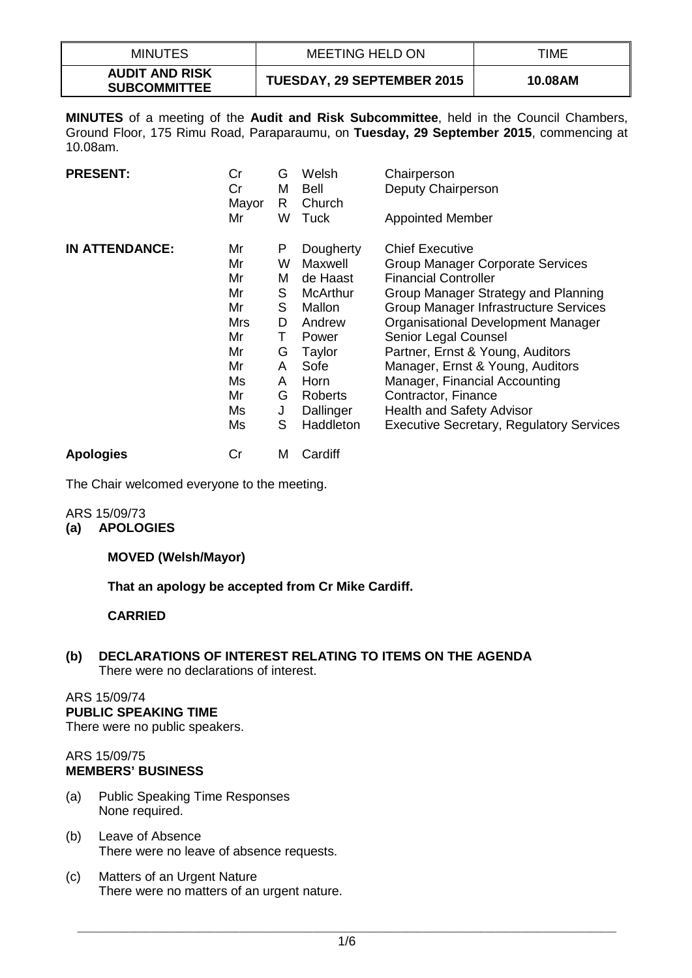| <b>MINUTES</b>                               | <b>MEETING HELD ON</b>            | TIME    |
|----------------------------------------------|-----------------------------------|---------|
| <b>AUDIT AND RISK</b><br><b>SUBCOMMITTEE</b> | <b>TUESDAY, 29 SEPTEMBER 2015</b> | 10.08AM |

**MINUTES** of a meeting of the **Audit and Risk Subcommittee**, held in the Council Chambers, Ground Floor, 175 Rimu Road, Paraparaumu, on **Tuesday, 29 September 2015**, commencing at 10.08am.

| <b>PRESENT:</b>       | Cr<br>Cr<br>Mayor | G<br>M<br>R. | Welsh<br><b>Bell</b><br>Church | Chairperson<br>Deputy Chairperson               |
|-----------------------|-------------------|--------------|--------------------------------|-------------------------------------------------|
|                       | Mr                | W            | Tuck                           | <b>Appointed Member</b>                         |
| <b>IN ATTENDANCE:</b> | Mr                | P            | Dougherty                      | <b>Chief Executive</b>                          |
|                       | Mr                | W            | Maxwell                        | <b>Group Manager Corporate Services</b>         |
|                       | Mr                | м            | de Haast                       | <b>Financial Controller</b>                     |
|                       | Mr                | S            | McArthur                       | Group Manager Strategy and Planning             |
|                       | Mr                | S            | Mallon                         | Group Manager Infrastructure Services           |
|                       | Mrs               | D            | Andrew                         | Organisational Development Manager              |
|                       | Mr                | Τ            | Power                          | Senior Legal Counsel                            |
|                       | Mr                | G            | Taylor                         | Partner, Ernst & Young, Auditors                |
|                       | Mr                | A            | Sofe                           | Manager, Ernst & Young, Auditors                |
|                       | Ms                | A            | Horn                           | Manager, Financial Accounting                   |
|                       | Mr                | G            | Roberts                        | Contractor, Finance                             |
|                       | Ms                | J            | Dallinger                      | <b>Health and Safety Advisor</b>                |
|                       | Ms                | S            | Haddleton                      | <b>Executive Secretary, Regulatory Services</b> |
| <b>Apologies</b>      | Cr                | M            | Cardiff                        |                                                 |

The Chair welcomed everyone to the meeting.

#### ARS 15/09/73 **(a) APOLOGIES**

# **MOVED (Welsh/Mayor)**

**That an apology be accepted from Cr Mike Cardiff.**

# **CARRIED**

**(b) DECLARATIONS OF INTEREST RELATING TO ITEMS ON THE AGENDA** There were no declarations of interest.

# ARS 15/09/74

# **PUBLIC SPEAKING TIME**

There were no public speakers.

#### ARS 15/09/75 **MEMBERS' BUSINESS**

- (a) Public Speaking Time Responses None required.
- (b) Leave of Absence There were no leave of absence requests.
- (c) Matters of an Urgent Nature There were no matters of an urgent nature.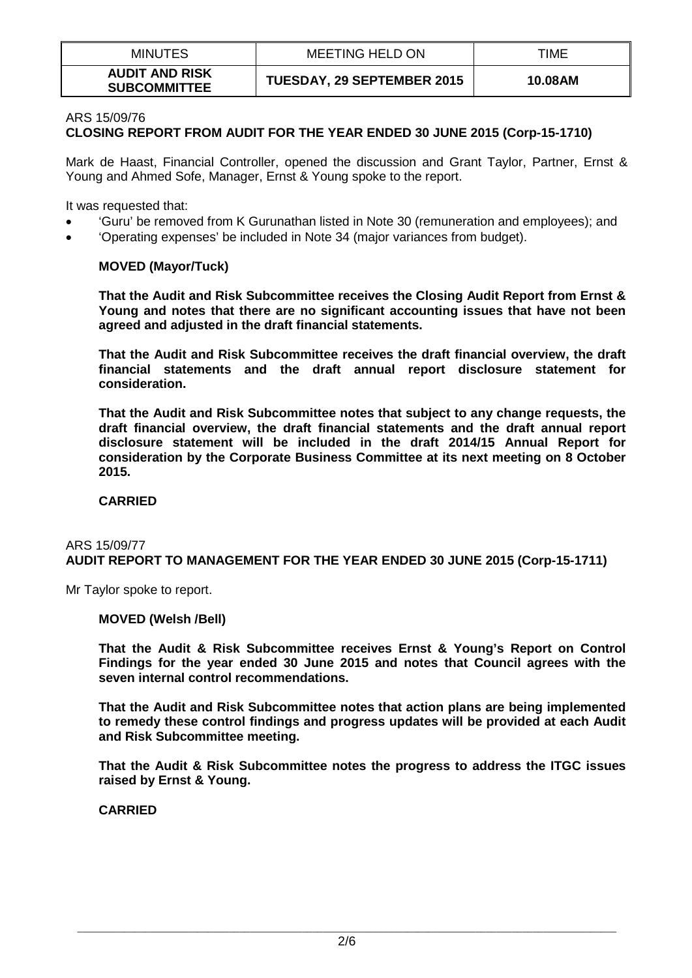| <b>MINUTES</b>                               | MEETING HELD ON                   | TIME    |
|----------------------------------------------|-----------------------------------|---------|
| <b>AUDIT AND RISK</b><br><b>SUBCOMMITTEE</b> | <b>TUESDAY, 29 SEPTEMBER 2015</b> | 10.08AM |

#### ARS 15/09/76 **CLOSING REPORT FROM AUDIT FOR THE YEAR ENDED 30 JUNE 2015 (Corp-15-1710)**

Mark de Haast, Financial Controller, opened the discussion and Grant Taylor, Partner, Ernst & Young and Ahmed Sofe, Manager, Ernst & Young spoke to the report.

It was requested that:

- 'Guru' be removed from K Gurunathan listed in Note 30 (remuneration and employees); and
- 'Operating expenses' be included in Note 34 (major variances from budget).

### **MOVED (Mayor/Tuck)**

**That the Audit and Risk Subcommittee receives the Closing Audit Report from Ernst & Young and notes that there are no significant accounting issues that have not been agreed and adjusted in the draft financial statements.**

**That the Audit and Risk Subcommittee receives the draft financial overview, the draft financial statements and the draft annual report disclosure statement for consideration.**

**That the Audit and Risk Subcommittee notes that subject to any change requests, the draft financial overview, the draft financial statements and the draft annual report disclosure statement will be included in the draft 2014/15 Annual Report for consideration by the Corporate Business Committee at its next meeting on 8 October 2015.**

### **CARRIED**

#### ARS 15/09/77 **AUDIT REPORT TO MANAGEMENT FOR THE YEAR ENDED 30 JUNE 2015 (Corp-15-1711)**

Mr Taylor spoke to report.

### **MOVED (Welsh /Bell)**

**That the Audit & Risk Subcommittee receives Ernst & Young's Report on Control Findings for the year ended 30 June 2015 and notes that Council agrees with the seven internal control recommendations.** 

**That the Audit and Risk Subcommittee notes that action plans are being implemented to remedy these control findings and progress updates will be provided at each Audit and Risk Subcommittee meeting.**

**That the Audit & Risk Subcommittee notes the progress to address the ITGC issues raised by Ernst & Young.** 

**CARRIED**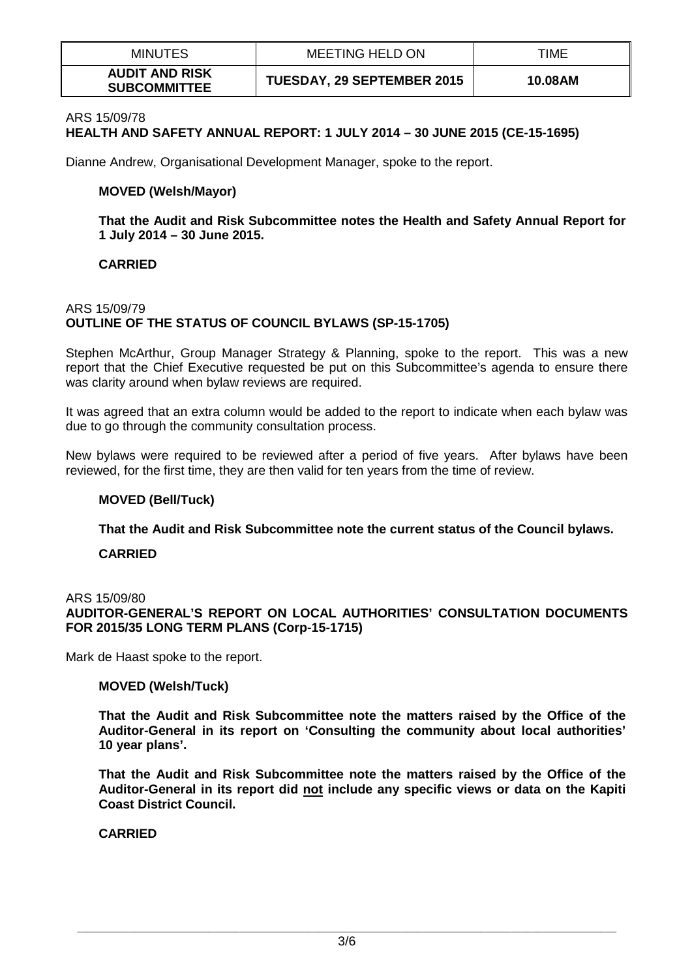| <b>MINUTES</b>                               | <b>MEETING HELD ON</b>            | TIME    |
|----------------------------------------------|-----------------------------------|---------|
| <b>AUDIT AND RISK</b><br><b>SUBCOMMITTEE</b> | <b>TUESDAY, 29 SEPTEMBER 2015</b> | 10.08AM |

#### ARS 15/09/78

# **HEALTH AND SAFETY ANNUAL REPORT: 1 JULY 2014 – 30 JUNE 2015 (CE-15-1695)**

Dianne Andrew, Organisational Development Manager, spoke to the report.

### **MOVED (Welsh/Mayor)**

**That the Audit and Risk Subcommittee notes the Health and Safety Annual Report for 1 July 2014 – 30 June 2015.**

#### **CARRIED**

### ARS 15/09/79 **OUTLINE OF THE STATUS OF COUNCIL BYLAWS (SP-15-1705)**

Stephen McArthur, Group Manager Strategy & Planning, spoke to the report. This was a new report that the Chief Executive requested be put on this Subcommittee's agenda to ensure there was clarity around when bylaw reviews are required.

It was agreed that an extra column would be added to the report to indicate when each bylaw was due to go through the community consultation process.

New bylaws were required to be reviewed after a period of five years. After bylaws have been reviewed, for the first time, they are then valid for ten years from the time of review.

#### **MOVED (Bell/Tuck)**

**That the Audit and Risk Subcommittee note the current status of the Council bylaws.** 

#### **CARRIED**

#### ARS 15/09/80

# **AUDITOR-GENERAL'S REPORT ON LOCAL AUTHORITIES' CONSULTATION DOCUMENTS FOR 2015/35 LONG TERM PLANS (Corp-15-1715)**

Mark de Haast spoke to the report.

#### **MOVED (Welsh/Tuck)**

**That the Audit and Risk Subcommittee note the matters raised by the Office of the Auditor-General in its report on 'Consulting the community about local authorities' 10 year plans'.**

**That the Audit and Risk Subcommittee note the matters raised by the Office of the Auditor-General in its report did not include any specific views or data on the Kapiti Coast District Council.**

### **CARRIED**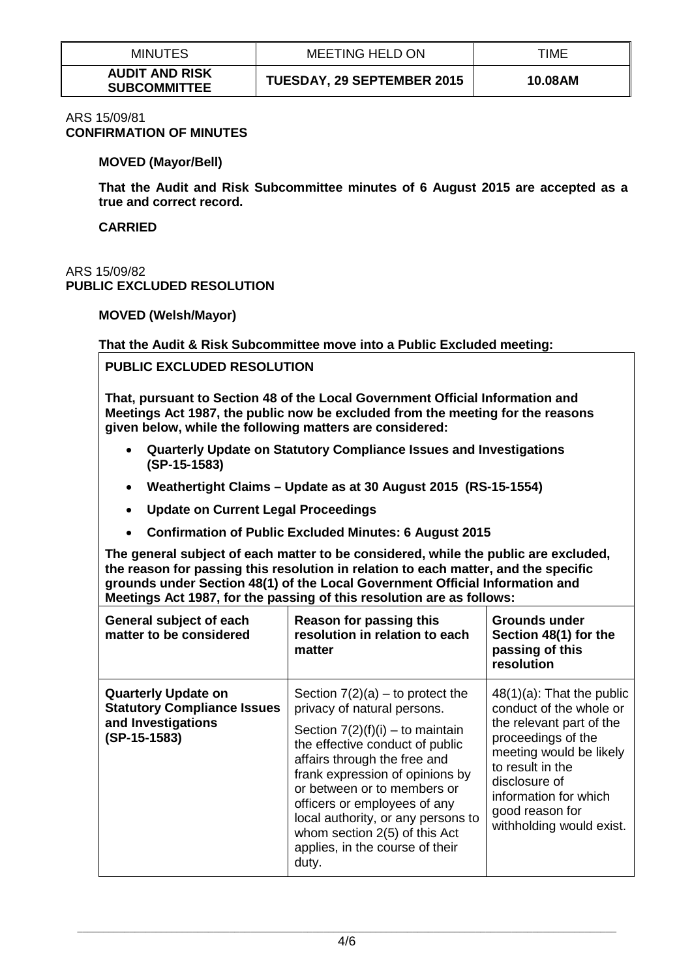| <b>MINUTES</b>                               | MEETING HELD ON                   | TIME    |
|----------------------------------------------|-----------------------------------|---------|
| <b>AUDIT AND RISK</b><br><b>SUBCOMMITTEE</b> | <b>TUESDAY, 29 SEPTEMBER 2015</b> | 10.08AM |

#### ARS 15/09/81 **CONFIRMATION OF MINUTES**

### **MOVED (Mayor/Bell)**

**That the Audit and Risk Subcommittee minutes of 6 August 2015 are accepted as a true and correct record.** 

**CARRIED**

# ARS 15/09/82 **PUBLIC EXCLUDED RESOLUTION**

# **MOVED (Welsh/Mayor)**

# **That the Audit & Risk Subcommittee move into a Public Excluded meeting:**

# **PUBLIC EXCLUDED RESOLUTION**

**That, pursuant to Section 48 of the Local Government Official Information and Meetings Act 1987, the public now be excluded from the meeting for the reasons given below, while the following matters are considered:**

- **Quarterly Update on Statutory Compliance Issues and Investigations (SP-15-1583)**
- **Weathertight Claims – Update as at 30 August 2015 (RS-15-1554)**
- **Update on Current Legal Proceedings**
- **Confirmation of Public Excluded Minutes: 6 August 2015**

**The general subject of each matter to be considered, while the public are excluded, the reason for passing this resolution in relation to each matter, and the specific grounds under Section 48(1) of the Local Government Official Information and Meetings Act 1987, for the passing of this resolution are as follows:**

| General subject of each<br>matter to be considered                                                       | Reason for passing this<br>resolution in relation to each<br>matter                                                                                                                                                                                                                                                                                                                             | Grounds under<br>Section 48(1) for the<br>passing of this<br>resolution                                                                                                                                                                           |
|----------------------------------------------------------------------------------------------------------|-------------------------------------------------------------------------------------------------------------------------------------------------------------------------------------------------------------------------------------------------------------------------------------------------------------------------------------------------------------------------------------------------|---------------------------------------------------------------------------------------------------------------------------------------------------------------------------------------------------------------------------------------------------|
| <b>Quarterly Update on</b><br><b>Statutory Compliance Issues</b><br>and Investigations<br>$(SP-15-1583)$ | Section $7(2)(a)$ – to protect the<br>privacy of natural persons.<br>Section $7(2)(f)(i) -$ to maintain<br>the effective conduct of public<br>affairs through the free and<br>frank expression of opinions by<br>or between or to members or<br>officers or employees of any<br>local authority, or any persons to<br>whom section 2(5) of this Act<br>applies, in the course of their<br>duty. | $48(1)(a)$ : That the public<br>conduct of the whole or<br>the relevant part of the<br>proceedings of the<br>meeting would be likely<br>to result in the<br>disclosure of<br>information for which<br>good reason for<br>withholding would exist. |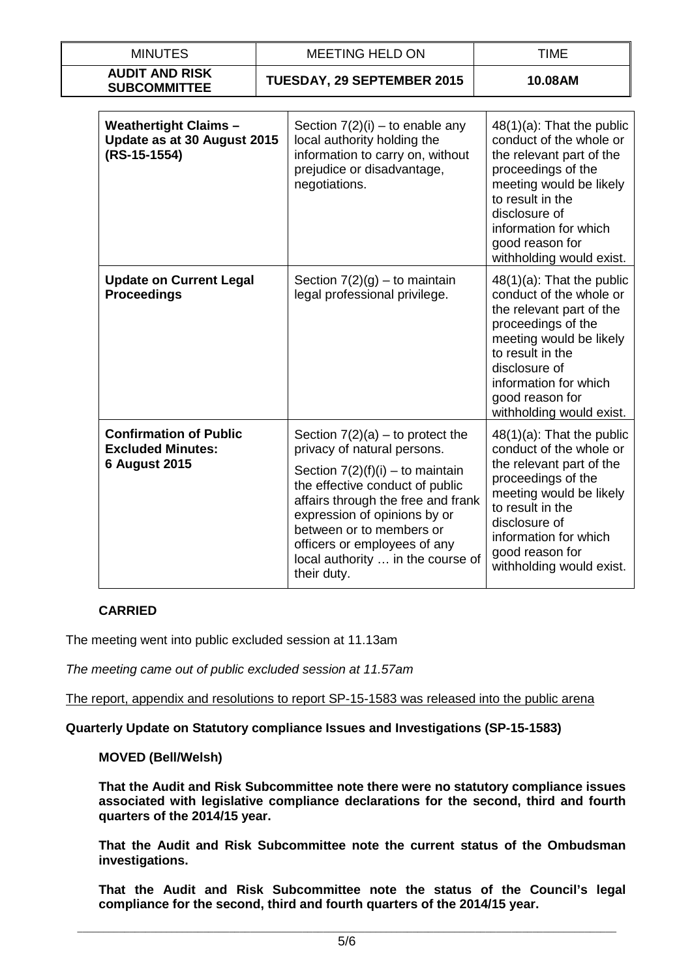| <b>MINUTES</b>                                                                    | <b>MEETING HELD ON</b>      |                                                                                                                                                                                                                                                                                                                                  | <b>TIME</b>                                                                                                                                                                                                                                       |  |
|-----------------------------------------------------------------------------------|-----------------------------|----------------------------------------------------------------------------------------------------------------------------------------------------------------------------------------------------------------------------------------------------------------------------------------------------------------------------------|---------------------------------------------------------------------------------------------------------------------------------------------------------------------------------------------------------------------------------------------------|--|
| <b>AUDIT AND RISK</b><br><b>SUBCOMMITTEE</b>                                      |                             | <b>TUESDAY, 29 SEPTEMBER 2015</b>                                                                                                                                                                                                                                                                                                | 10.08AM                                                                                                                                                                                                                                           |  |
| <b>Weathertight Claims -</b><br>(RS-15-1554)                                      | Update as at 30 August 2015 |                                                                                                                                                                                                                                                                                                                                  | $48(1)(a)$ : That the public<br>conduct of the whole or<br>the relevant part of the<br>proceedings of the<br>meeting would be likely<br>to result in the<br>disclosure of<br>information for which<br>good reason for<br>withholding would exist. |  |
| <b>Update on Current Legal</b><br><b>Proceedings</b>                              |                             | Section $7(2)(g) -$ to maintain<br>legal professional privilege.                                                                                                                                                                                                                                                                 | $48(1)(a)$ : That the public<br>conduct of the whole or<br>the relevant part of the<br>proceedings of the<br>meeting would be likely<br>to result in the<br>disclosure of<br>information for which<br>good reason for<br>withholding would exist. |  |
| <b>Confirmation of Public</b><br><b>Excluded Minutes:</b><br><b>6 August 2015</b> |                             | Section $7(2)(a)$ – to protect the<br>privacy of natural persons.<br>Section $7(2)(f)(i) -$ to maintain<br>the effective conduct of public<br>affairs through the free and frank<br>expression of opinions by or<br>between or to members or<br>officers or employees of any<br>local authority  in the course of<br>their duty. | 48(1)(a): That the public<br>conduct of the whole or<br>the relevant part of the<br>proceedings of the<br>meeting would be likely<br>to result in the<br>disclosure of<br>information for which<br>good reason for<br>withholding would exist.    |  |

# **CARRIED**

The meeting went into public excluded session at 11.13am

*The meeting came out of public excluded session at 11.57am*

The report, appendix and resolutions to report SP-15-1583 was released into the public arena

### **Quarterly Update on Statutory compliance Issues and Investigations (SP-15-1583)**

# **MOVED (Bell/Welsh)**

**That the Audit and Risk Subcommittee note there were no statutory compliance issues associated with legislative compliance declarations for the second, third and fourth quarters of the 2014/15 year.**

**That the Audit and Risk Subcommittee note the current status of the Ombudsman investigations.**

**That the Audit and Risk Subcommittee note the status of the Council's legal compliance for the second, third and fourth quarters of the 2014/15 year.**